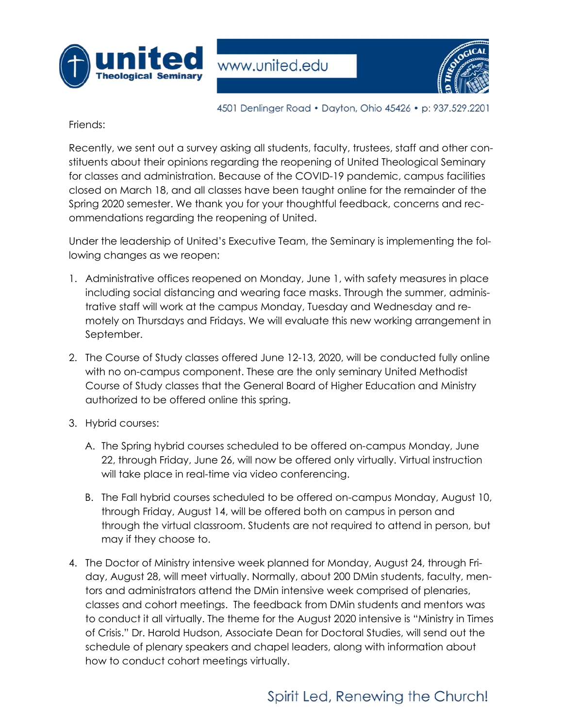



4501 Denlinger Road • Dayton, Ohio 45426 • p: 937.529.2201

Friends:

Recently, we sent out a survey asking all students, faculty, trustees, staff and other constituents about their opinions regarding the reopening of United Theological Seminary for classes and administration. Because of the COVID-19 pandemic, campus facilities closed on March 18, and all classes have been taught online for the remainder of the Spring 2020 semester. We thank you for your thoughtful feedback, concerns and recommendations regarding the reopening of United.

Under the leadership of United's Executive Team, the Seminary is implementing the following changes as we reopen:

- 1. Administrative offices reopened on Monday, June 1, with safety measures in place including social distancing and wearing face masks. Through the summer, administrative staff will work at the campus Monday, Tuesday and Wednesday and remotely on Thursdays and Fridays. We will evaluate this new working arrangement in September.
- 2. The Course of Study classes offered June 12-13, 2020, will be conducted fully online with no on-campus component. These are the only seminary United Methodist Course of Study classes that the General Board of Higher Education and Ministry authorized to be offered online this spring.
- 3. Hybrid courses:
	- A. The Spring hybrid courses scheduled to be offered on-campus Monday, June 22, through Friday, June 26, will now be offered only virtually. Virtual instruction will take place in real-time via video conferencing.
	- B. The Fall hybrid courses scheduled to be offered on-campus Monday, August 10, through Friday, August 14, will be offered both on campus in person and through the virtual classroom. Students are not required to attend in person, but may if they choose to.
- 4. The Doctor of Ministry intensive week planned for Monday, August 24, through Friday, August 28, will meet virtually. Normally, about 200 DMin students, faculty, mentors and administrators attend the DMin intensive week comprised of plenaries, classes and cohort meetings. The feedback from DMin students and mentors was to conduct it all virtually. The theme for the August 2020 intensive is "Ministry in Times of Crisis." Dr. Harold Hudson, Associate Dean for Doctoral Studies, will send out the schedule of plenary speakers and chapel leaders, along with information about how to conduct cohort meetings virtually.